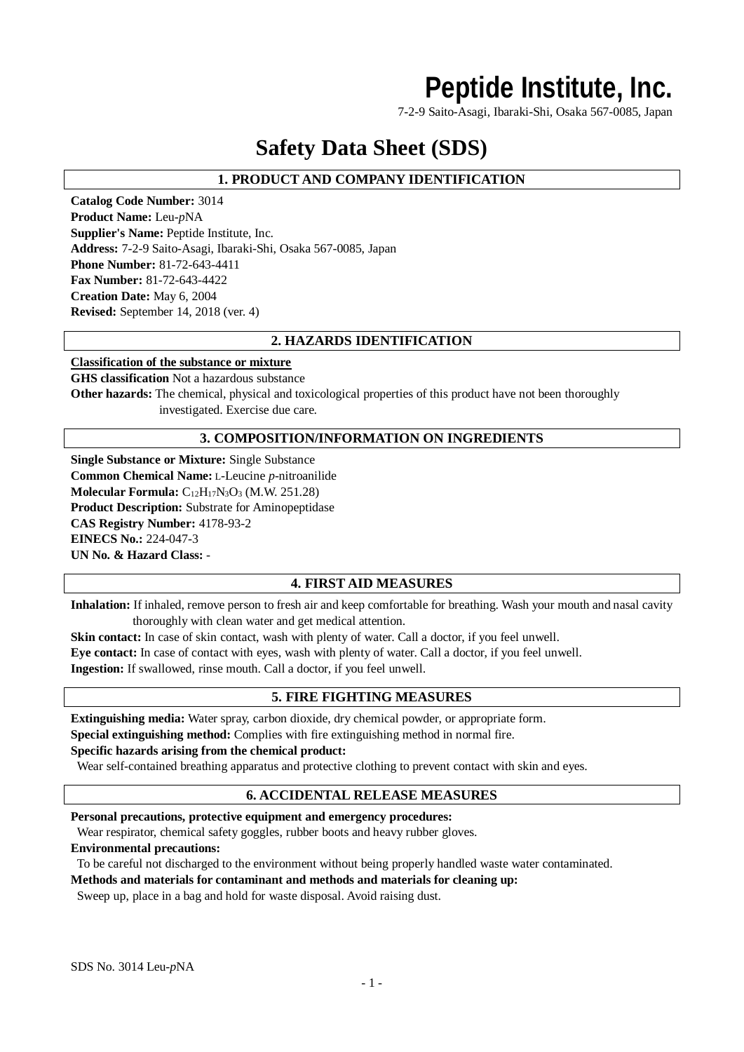## **Peptide Institute, Inc.**

7-2-9 Saito-Asagi, Ibaraki-Shi, Osaka 567-0085, Japan

## **Safety Data Sheet (SDS)**

## **1. PRODUCT AND COMPANY IDENTIFICATION**

**Catalog Code Number:** 3014 **Product Name:** Leu-*p*NA **Supplier's Name:** Peptide Institute, Inc. **Address:** 7-2-9 Saito-Asagi, Ibaraki-Shi, Osaka 567-0085, Japan **Phone Number:** 81-72-643-4411 **Fax Number:** 81-72-643-4422 **Creation Date:** May 6, 2004 **Revised:** September 14, 2018 (ver. 4)

## **2. HAZARDS IDENTIFICATION**

#### **Classification of the substance or mixture**

**GHS classification** Not a hazardous substance **Other hazards:** The chemical, physical and toxicological properties of this product have not been thoroughly investigated. Exercise due care.

## **3. COMPOSITION/INFORMATION ON INGREDIENTS**

**Single Substance or Mixture:** Single Substance **Common Chemical Name:** L-Leucine *p*-nitroanilide **Molecular Formula:** C<sub>12</sub>H<sub>17</sub>N<sub>3</sub>O<sub>3</sub> (M.W. 251.28) **Product Description:** Substrate for Aminopeptidase **CAS Registry Number:** 4178-93-2 **EINECS No.:** 224-047-3 **UN No. & Hazard Class:** -

## **4. FIRST AID MEASURES**

**Inhalation:** If inhaled, remove person to fresh air and keep comfortable for breathing. Wash your mouth and nasal cavity thoroughly with clean water and get medical attention.

**Skin contact:** In case of skin contact, wash with plenty of water. Call a doctor, if you feel unwell. **Eye contact:** In case of contact with eyes, wash with plenty of water. Call a doctor, if you feel unwell. **Ingestion:** If swallowed, rinse mouth. Call a doctor, if you feel unwell.

## **5. FIRE FIGHTING MEASURES**

**Extinguishing media:** Water spray, carbon dioxide, dry chemical powder, or appropriate form. **Special extinguishing method:** Complies with fire extinguishing method in normal fire.

## **Specific hazards arising from the chemical product:**

Wear self-contained breathing apparatus and protective clothing to prevent contact with skin and eyes.

## **6. ACCIDENTAL RELEASE MEASURES**

**Personal precautions, protective equipment and emergency procedures:**

Wear respirator, chemical safety goggles, rubber boots and heavy rubber gloves.

#### **Environmental precautions:**

To be careful not discharged to the environment without being properly handled waste water contaminated.

#### **Methods and materials for contaminant and methods and materials for cleaning up:**

Sweep up, place in a bag and hold for waste disposal. Avoid raising dust.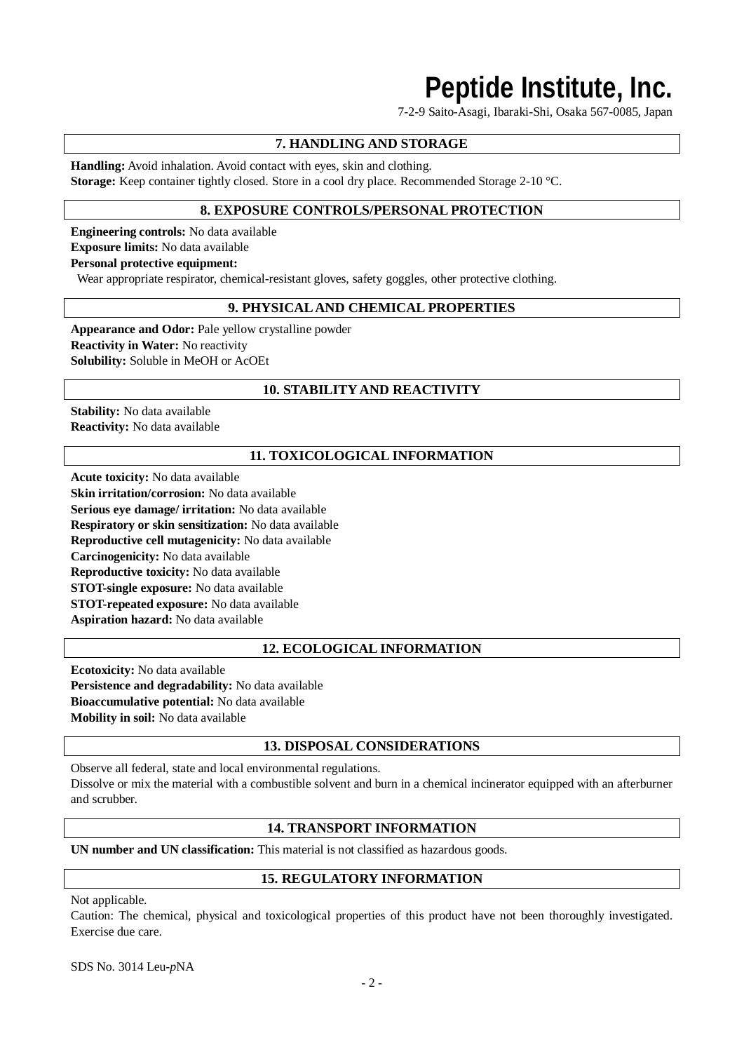# **Peptide Institute, Inc.**

7-2-9 Saito-Asagi, Ibaraki-Shi, Osaka 567-0085, Japan

## **7. HANDLING AND STORAGE**

**Handling:** Avoid inhalation. Avoid contact with eyes, skin and clothing. **Storage:** Keep container tightly closed. Store in a cool dry place. Recommended Storage 2-10 °C.

## **8. EXPOSURE CONTROLS/PERSONAL PROTECTION**

**Engineering controls:** No data available **Exposure limits:** No data available **Personal protective equipment:**

Wear appropriate respirator, chemical-resistant gloves, safety goggles, other protective clothing.

## **9. PHYSICAL AND CHEMICAL PROPERTIES**

**Appearance and Odor:** Pale yellow crystalline powder **Reactivity in Water:** No reactivity **Solubility:** Soluble in MeOH or AcOEt

## **10. STABILITY AND REACTIVITY**

**Stability:** No data available **Reactivity:** No data available

## **11. TOXICOLOGICAL INFORMATION**

**Acute toxicity:** No data available **Skin irritation/corrosion:** No data available **Serious eye damage/ irritation:** No data available **Respiratory or skin sensitization:** No data available **Reproductive cell mutagenicity:** No data available **Carcinogenicity:** No data available **Reproductive toxicity:** No data available **STOT-single exposure:** No data available **STOT-repeated exposure:** No data available **Aspiration hazard:** No data available

## **12. ECOLOGICAL INFORMATION**

**Ecotoxicity:** No data available **Persistence and degradability:** No data available **Bioaccumulative potential:** No data available **Mobility in soil:** No data available

## **13. DISPOSAL CONSIDERATIONS**

Observe all federal, state and local environmental regulations. Dissolve or mix the material with a combustible solvent and burn in a chemical incinerator equipped with an afterburner and scrubber.

## **14. TRANSPORT INFORMATION**

**UN number and UN classification:** This material is not classified as hazardous goods.

## **15. REGULATORY INFORMATION**

Not applicable.

Caution: The chemical, physical and toxicological properties of this product have not been thoroughly investigated. Exercise due care.

SDS No. 3014 Leu-*p*NA